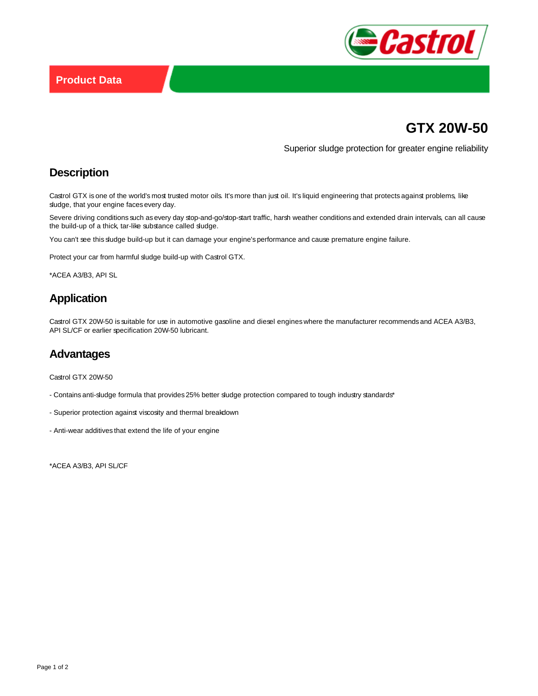

# **GTX 20W-50**

Superior sludge protection for greater engine reliability

## **Description**

Castrol GTX is one of the world's most trusted motor oils. It's more than just oil. It's liquid engineering that protects against problems, like sludge, that your engine faces every day.

Severe driving conditions such as every day stop-and-go/stop-start traffic, harsh weather conditions and extended drain intervals, can all cause the build-up of a thick, tar-like substance called sludge.

You can't see this sludge build-up but it can damage your engine's performance and cause premature engine failure.

Protect your car from harmful sludge build-up with Castrol GTX.

\*ACEA A3/B3, API SL

# **Application**

Castrol GTX 20W-50 is suitable for use in automotive gasoline and diesel engines where the manufacturer recommends and ACEA A3/B3, API SL/CF or earlier specification 20W-50 lubricant.

#### **Advantages**

Castrol GTX 20W-50

- Contains anti-sludge formula that provides 25% better sludge protection compared to tough industry standards\*
- Superior protection against viscosity and thermal breakdown
- Anti-wear additives that extend the life of your engine

\*ACEA A3/B3, API SL/CF